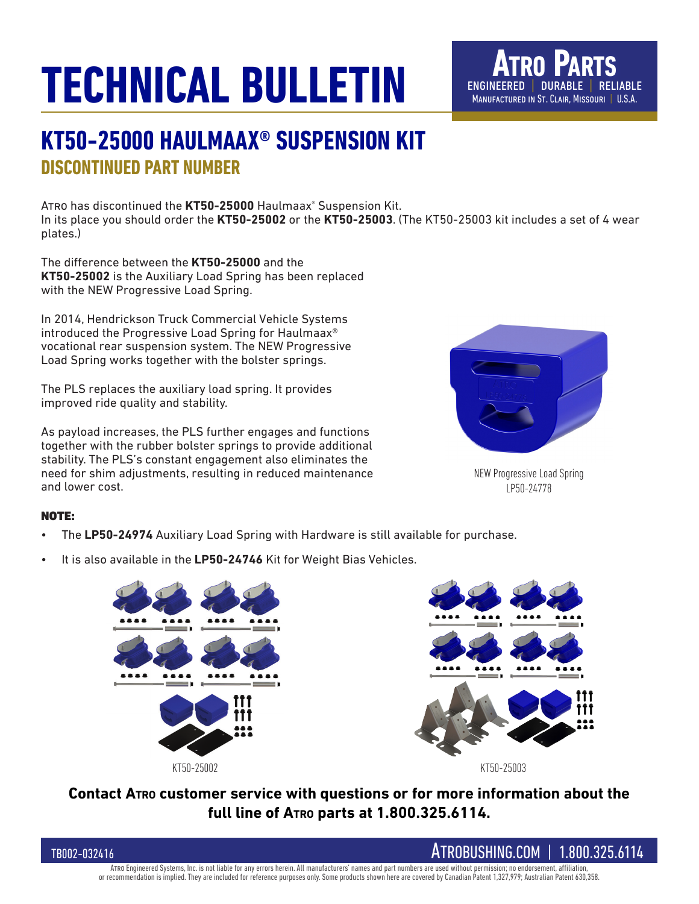## **TECHNICAL BULLETIN**



## **KT50-25000 HAULMAAX® SUSPENSION KIT DISCONTINUED PART NUMBER**

Atro has discontinued the **KT50-25000** Haulmaax® Suspension Kit. In its place you should order the **KT50-25002** or the **KT50-25003**. (The KT50-25003 kit includes a set of 4 wear plates.)

The difference between the **KT50-25000** and the **KT50-25002** is the Auxiliary Load Spring has been replaced with the NEW Progressive Load Spring.

In 2014, Hendrickson Truck Commercial Vehicle Systems introduced the Progressive Load Spring for Haulmaax® vocational rear suspension system. The NEW Progressive Load Spring works together with the bolster springs.

The PLS replaces the auxiliary load spring. It provides improved ride quality and stability.

As payload increases, the PLS further engages and functions together with the rubber bolster springs to provide additional stability. The PLS's constant engagement also eliminates the need for shim adjustments, resulting in reduced maintenance and lower cost.



NEW Progressive Load Spring LP50-24778

#### NOTE:

- The **LP50-24974** Auxiliary Load Spring with Hardware is still available for purchase.
- It is also available in the **LP50-24746** Kit for Weight Bias Vehicles.



**Contact Atro customer service with questions or for more information about the full line of Atro parts at 1.800.325.6114.**



Atro Engineered Systems, Inc. is not liable for any errors herein. All manufacturers' names and part numbers are used without permission; no endorsement, affiliation, or recommendation is implied. They are included for reference purposes only. Some products shown here are covered by Canadian Patent 1,327,979; Australian Patent 630,358.